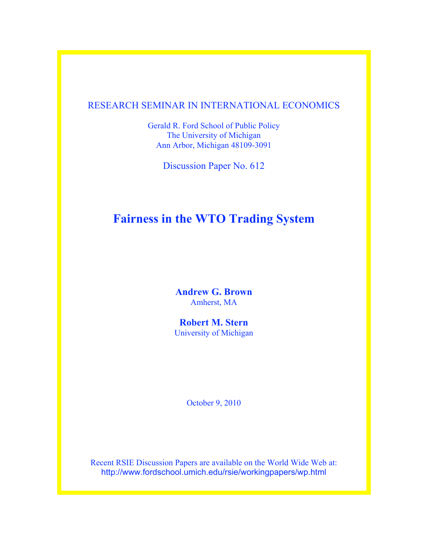# RESEARCH SEMINAR IN INTERNATIONAL ECONOMICS

Gerald R. Ford School of Public Policy The University of Michigan Ann Arbor, Michigan 48109-3091

Discussion Paper No. 612

# **Fairness in the WTO Trading System**

**Andrew G. Brown** Amherst, MA

**Robert M. Stern** University of Michigan

October 9, 2010

Recent RSIE Discussion Papers are available on the World Wide Web at: http://www.fordschool.umich.edu/rsie/workingpapers/wp.html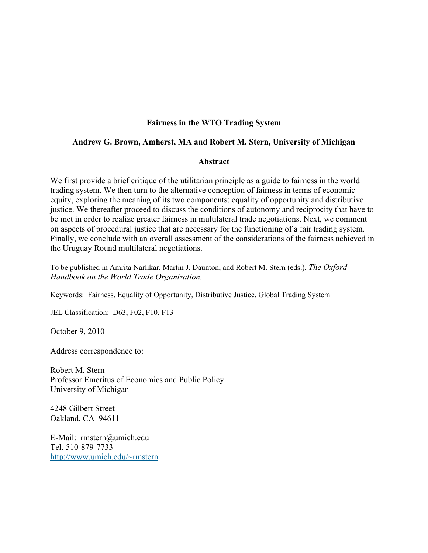# **Fairness in the WTO Trading System**

#### **Andrew G. Brown, Amherst, MA and Robert M. Stern, University of Michigan**

#### **Abstract**

We first provide a brief critique of the utilitarian principle as a guide to fairness in the world trading system. We then turn to the alternative conception of fairness in terms of economic equity, exploring the meaning of its two components: equality of opportunity and distributive justice. We thereafter proceed to discuss the conditions of autonomy and reciprocity that have to be met in order to realize greater fairness in multilateral trade negotiations. Next, we comment on aspects of procedural justice that are necessary for the functioning of a fair trading system. Finally, we conclude with an overall assessment of the considerations of the fairness achieved in the Uruguay Round multilateral negotiations.

To be published in Amrita Narlikar, Martin J. Daunton, and Robert M. Stern (eds.), *The Oxford Handbook on the World Trade Organization.* 

Keywords: Fairness, Equality of Opportunity, Distributive Justice, Global Trading System

JEL Classification: D63, F02, F10, F13

October 9, 2010

Address correspondence to:

Robert M. Stern Professor Emeritus of Economics and Public Policy University of Michigan

4248 Gilbert Street Oakland, CA 94611

E-Mail: rmstern@umich.edu Tel. 510-879-7733 http://www.umich.edu/~rmstern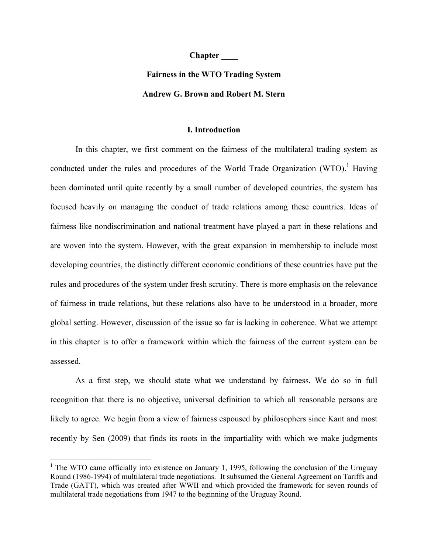**Chapter \_\_\_\_**

**Fairness in the WTO Trading System Andrew G. Brown and Robert M. Stern**

#### **I. Introduction**

In this chapter, we first comment on the fairness of the multilateral trading system as conducted under the rules and procedures of the World Trade Organization (WTO).<sup>1</sup> Having been dominated until quite recently by a small number of developed countries, the system has focused heavily on managing the conduct of trade relations among these countries. Ideas of fairness like nondiscrimination and national treatment have played a part in these relations and are woven into the system. However, with the great expansion in membership to include most developing countries, the distinctly different economic conditions of these countries have put the rules and procedures of the system under fresh scrutiny. There is more emphasis on the relevance of fairness in trade relations, but these relations also have to be understood in a broader, more global setting. However, discussion of the issue so far is lacking in coherence. What we attempt in this chapter is to offer a framework within which the fairness of the current system can be assessed.

As a first step, we should state what we understand by fairness. We do so in full recognition that there is no objective, universal definition to which all reasonable persons are likely to agree. We begin from a view of fairness espoused by philosophers since Kant and most recently by Sen (2009) that finds its roots in the impartiality with which we make judgments

<sup>&</sup>lt;sup>1</sup> The WTO came officially into existence on January 1, 1995, following the conclusion of the Uruguay Round (1986-1994) of multilateral trade negotiations. It subsumed the General Agreement on Tariffs and Trade (GATT), which was created after WWII and which provided the framework for seven rounds of multilateral trade negotiations from 1947 to the beginning of the Uruguay Round.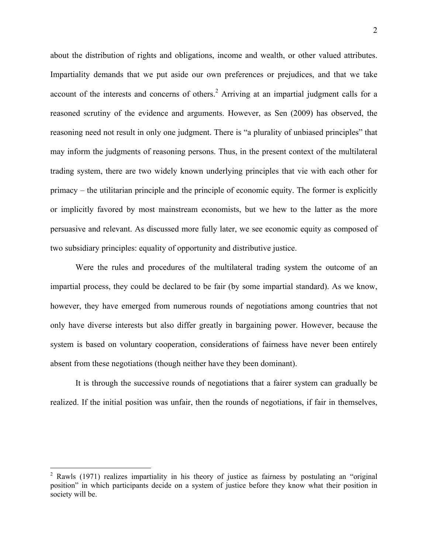about the distribution of rights and obligations, income and wealth, or other valued attributes. Impartiality demands that we put aside our own preferences or prejudices, and that we take account of the interests and concerns of others.<sup>2</sup> Arriving at an impartial judgment calls for a reasoned scrutiny of the evidence and arguments. However, as Sen (2009) has observed, the reasoning need not result in only one judgment. There is "a plurality of unbiased principles" that may inform the judgments of reasoning persons. Thus, in the present context of the multilateral trading system, there are two widely known underlying principles that vie with each other for primacy – the utilitarian principle and the principle of economic equity. The former is explicitly or implicitly favored by most mainstream economists, but we hew to the latter as the more persuasive and relevant. As discussed more fully later, we see economic equity as composed of two subsidiary principles: equality of opportunity and distributive justice.

Were the rules and procedures of the multilateral trading system the outcome of an impartial process, they could be declared to be fair (by some impartial standard). As we know, however, they have emerged from numerous rounds of negotiations among countries that not only have diverse interests but also differ greatly in bargaining power. However, because the system is based on voluntary cooperation, considerations of fairness have never been entirely absent from these negotiations (though neither have they been dominant).

It is through the successive rounds of negotiations that a fairer system can gradually be realized. If the initial position was unfair, then the rounds of negotiations, if fair in themselves,

<sup>&</sup>lt;sup>2</sup> Rawls (1971) realizes impartiality in his theory of justice as fairness by postulating an "original" position" in which participants decide on a system of justice before they know what their position in society will be.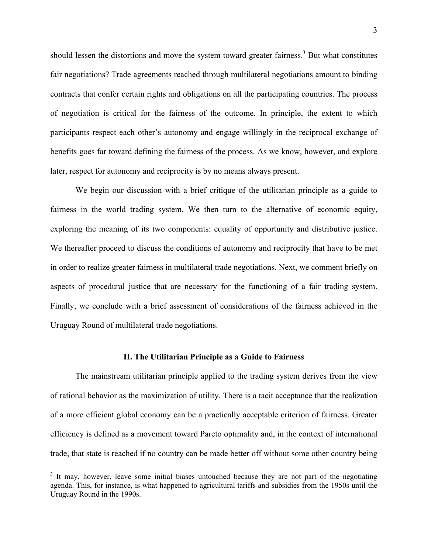should lessen the distortions and move the system toward greater fairness.<sup>3</sup> But what constitutes fair negotiations? Trade agreements reached through multilateral negotiations amount to binding contracts that confer certain rights and obligations on all the participating countries. The process of negotiation is critical for the fairness of the outcome. In principle, the extent to which participants respect each other's autonomy and engage willingly in the reciprocal exchange of benefits goes far toward defining the fairness of the process. As we know, however, and explore later, respect for autonomy and reciprocity is by no means always present.

We begin our discussion with a brief critique of the utilitarian principle as a guide to fairness in the world trading system. We then turn to the alternative of economic equity, exploring the meaning of its two components: equality of opportunity and distributive justice. We thereafter proceed to discuss the conditions of autonomy and reciprocity that have to be met in order to realize greater fairness in multilateral trade negotiations. Next, we comment briefly on aspects of procedural justice that are necessary for the functioning of a fair trading system. Finally, we conclude with a brief assessment of considerations of the fairness achieved in the Uruguay Round of multilateral trade negotiations.

### **II. The Utilitarian Principle as a Guide to Fairness**

The mainstream utilitarian principle applied to the trading system derives from the view of rational behavior as the maximization of utility. There is a tacit acceptance that the realization of a more efficient global economy can be a practically acceptable criterion of fairness. Greater efficiency is defined as a movement toward Pareto optimality and, in the context of international trade, that state is reached if no country can be made better off without some other country being

<sup>&</sup>lt;sup>3</sup> It may, however, leave some initial biases untouched because they are not part of the negotiating agenda. This, for instance, is what happened to agricultural tariffs and subsidies from the 1950s until the Uruguay Round in the 1990s.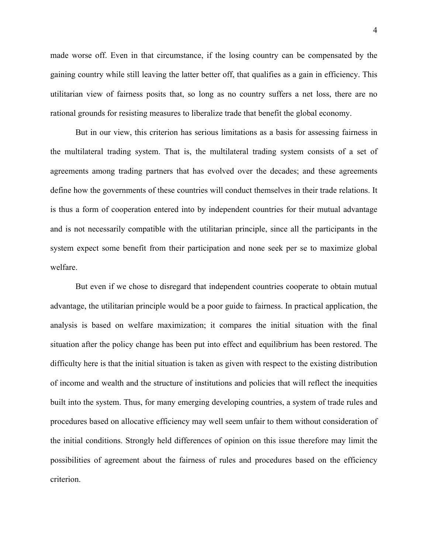made worse off. Even in that circumstance, if the losing country can be compensated by the gaining country while still leaving the latter better off, that qualifies as a gain in efficiency. This utilitarian view of fairness posits that, so long as no country suffers a net loss, there are no rational grounds for resisting measures to liberalize trade that benefit the global economy.

But in our view, this criterion has serious limitations as a basis for assessing fairness in the multilateral trading system. That is, the multilateral trading system consists of a set of agreements among trading partners that has evolved over the decades; and these agreements define how the governments of these countries will conduct themselves in their trade relations. It is thus a form of cooperation entered into by independent countries for their mutual advantage and is not necessarily compatible with the utilitarian principle, since all the participants in the system expect some benefit from their participation and none seek per se to maximize global welfare.

But even if we chose to disregard that independent countries cooperate to obtain mutual advantage, the utilitarian principle would be a poor guide to fairness. In practical application, the analysis is based on welfare maximization; it compares the initial situation with the final situation after the policy change has been put into effect and equilibrium has been restored. The difficulty here is that the initial situation is taken as given with respect to the existing distribution of income and wealth and the structure of institutions and policies that will reflect the inequities built into the system. Thus, for many emerging developing countries, a system of trade rules and procedures based on allocative efficiency may well seem unfair to them without consideration of the initial conditions. Strongly held differences of opinion on this issue therefore may limit the possibilities of agreement about the fairness of rules and procedures based on the efficiency criterion.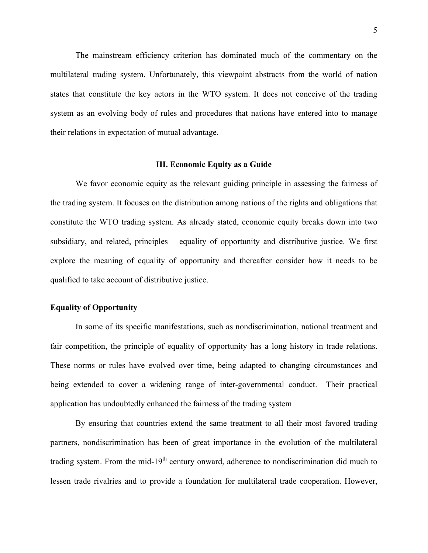The mainstream efficiency criterion has dominated much of the commentary on the multilateral trading system. Unfortunately, this viewpoint abstracts from the world of nation states that constitute the key actors in the WTO system. It does not conceive of the trading system as an evolving body of rules and procedures that nations have entered into to manage their relations in expectation of mutual advantage.

#### **III. Economic Equity as a Guide**

We favor economic equity as the relevant guiding principle in assessing the fairness of the trading system. It focuses on the distribution among nations of the rights and obligations that constitute the WTO trading system. As already stated, economic equity breaks down into two subsidiary, and related, principles – equality of opportunity and distributive justice. We first explore the meaning of equality of opportunity and thereafter consider how it needs to be qualified to take account of distributive justice.

# **Equality of Opportunity**

In some of its specific manifestations, such as nondiscrimination, national treatment and fair competition, the principle of equality of opportunity has a long history in trade relations. These norms or rules have evolved over time, being adapted to changing circumstances and being extended to cover a widening range of inter-governmental conduct. Their practical application has undoubtedly enhanced the fairness of the trading system

By ensuring that countries extend the same treatment to all their most favored trading partners, nondiscrimination has been of great importance in the evolution of the multilateral trading system. From the mid-19<sup>th</sup> century onward, adherence to nondiscrimination did much to lessen trade rivalries and to provide a foundation for multilateral trade cooperation. However,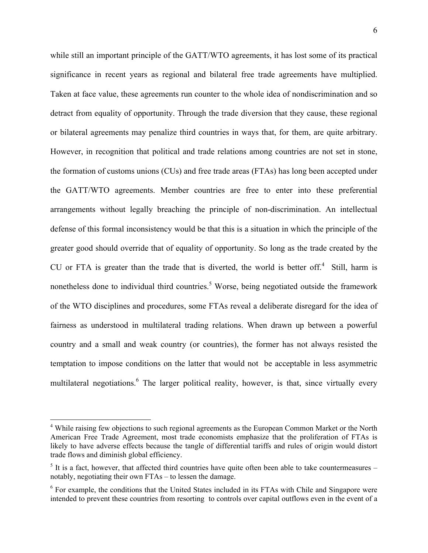while still an important principle of the GATT/WTO agreements, it has lost some of its practical significance in recent years as regional and bilateral free trade agreements have multiplied. Taken at face value, these agreements run counter to the whole idea of nondiscrimination and so detract from equality of opportunity. Through the trade diversion that they cause, these regional or bilateral agreements may penalize third countries in ways that, for them, are quite arbitrary. However, in recognition that political and trade relations among countries are not set in stone, the formation of customs unions (CUs) and free trade areas (FTAs) has long been accepted under the GATT/WTO agreements. Member countries are free to enter into these preferential arrangements without legally breaching the principle of non-discrimination. An intellectual defense of this formal inconsistency would be that this is a situation in which the principle of the greater good should override that of equality of opportunity. So long as the trade created by the CU or FTA is greater than the trade that is diverted, the world is better off. $4$  Still, harm is nonetheless done to individual third countries.<sup>5</sup> Worse, being negotiated outside the framework of the WTO disciplines and procedures, some FTAs reveal a deliberate disregard for the idea of fairness as understood in multilateral trading relations. When drawn up between a powerful country and a small and weak country (or countries), the former has not always resisted the temptation to impose conditions on the latter that would not be acceptable in less asymmetric multilateral negotiations. <sup>6</sup> The larger political reality, however, is that, since virtually every

<sup>&</sup>lt;sup>4</sup> While raising few objections to such regional agreements as the European Common Market or the North American Free Trade Agreement, most trade economists emphasize that the proliferation of FTAs is likely to have adverse effects because the tangle of differential tariffs and rules of origin would distort trade flows and diminish global efficiency.

 $<sup>5</sup>$  It is a fact, however, that affected third countries have quite often been able to take countermeasures –</sup> notably, negotiating their own FTAs – to lessen the damage.

<sup>&</sup>lt;sup>6</sup> For example, the conditions that the United States included in its FTAs with Chile and Singapore were intended to prevent these countries from resorting to controls over capital outflows even in the event of a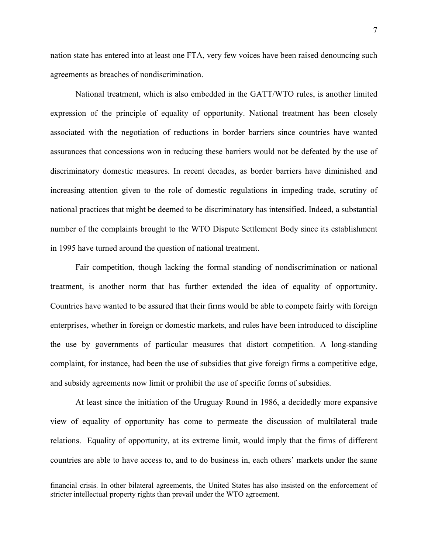nation state has entered into at least one FTA, very few voices have been raised denouncing such agreements as breaches of nondiscrimination.

National treatment, which is also embedded in the GATT/WTO rules, is another limited expression of the principle of equality of opportunity. National treatment has been closely associated with the negotiation of reductions in border barriers since countries have wanted assurances that concessions won in reducing these barriers would not be defeated by the use of discriminatory domestic measures. In recent decades, as border barriers have diminished and increasing attention given to the role of domestic regulations in impeding trade, scrutiny of national practices that might be deemed to be discriminatory has intensified. Indeed, a substantial number of the complaints brought to the WTO Dispute Settlement Body since its establishment in 1995 have turned around the question of national treatment.

Fair competition, though lacking the formal standing of nondiscrimination or national treatment, is another norm that has further extended the idea of equality of opportunity. Countries have wanted to be assured that their firms would be able to compete fairly with foreign enterprises, whether in foreign or domestic markets, and rules have been introduced to discipline the use by governments of particular measures that distort competition. A long-standing complaint, for instance, had been the use of subsidies that give foreign firms a competitive edge, and subsidy agreements now limit or prohibit the use of specific forms of subsidies.

At least since the initiation of the Uruguay Round in 1986, a decidedly more expansive view of equality of opportunity has come to permeate the discussion of multilateral trade relations. Equality of opportunity, at its extreme limit, would imply that the firms of different countries are able to have access to, and to do business in, each others' markets under the same

<u> 1989 - Andrea Stadt Britain, amerikansk politik (\* 1989)</u>

financial crisis. In other bilateral agreements, the United States has also insisted on the enforcement of stricter intellectual property rights than prevail under the WTO agreement.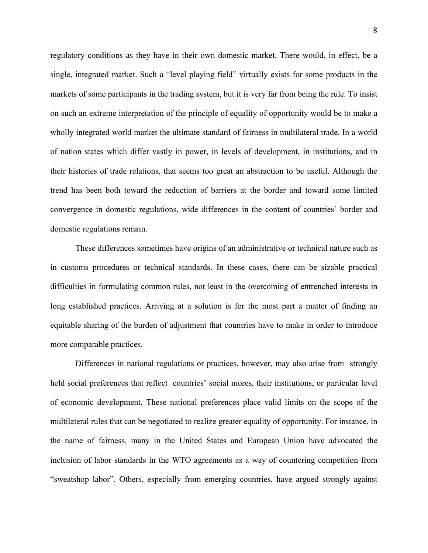regulatory conditions as they have in their own domestic market. There would, in effect, be a single, integrated market. Such a "level playing field" virtually exists for some products in the markets of some participants in the trading system, but it is very far from being the rule. To insist on such an extreme interpretation of the principle of equality of opportunity would be to make a wholly integrated world market the ultimate standard of fairness in multilateral trade. In a world of nation states which differ vastly in power, in levels of development, in institutions, and in their histories of trade relations, that seems too great an abstraction to be useful. Although the trend has been both toward the reduction of barriers at the border and toward some limited convergence in domestic regulations, wide differences in the content of countries' border and domestic regulations remain.

These differences sometimes have origins of an administrative or technical nature such as in customs procedures or technical standards. In these cases, there can be sizable practical difficulties in formulating common rules, not least in the overcoming of entrenched interests in long established practices. Arriving at a solution is for the most part a matter of finding an equitable sharing of the burden of adjustment that countries have to make in order to introduce more comparable practices.

Differences in national regulations or practices, however, may also arise from strongly held social preferences that reflect countries' social mores, their institutions, or particular level of economic development. These national preferences place valid limits on the scope of the multilateral rules that can be negotiated to realize greater equality of opportunity. For instance, in the name of fairness, many in the United States and European Union have advocated the inclusion of labor standards in the WTO agreements as a way of countering competition from "sweatshop labor". Others, especially from emerging countries, have argued strongly against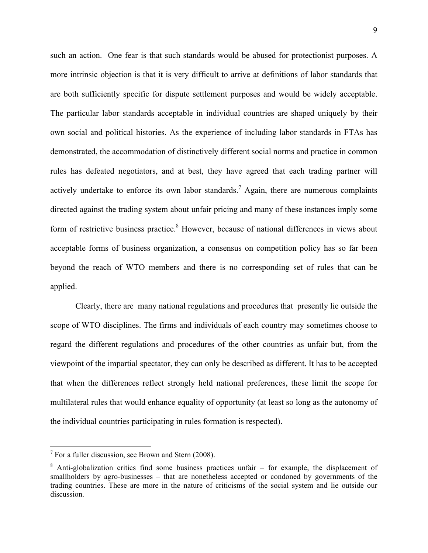such an action. One fear is that such standards would be abused for protectionist purposes. A more intrinsic objection is that it is very difficult to arrive at definitions of labor standards that are both sufficiently specific for dispute settlement purposes and would be widely acceptable. The particular labor standards acceptable in individual countries are shaped uniquely by their own social and political histories. As the experience of including labor standards in FTAs has demonstrated, the accommodation of distinctively different social norms and practice in common rules has defeated negotiators, and at best, they have agreed that each trading partner will actively undertake to enforce its own labor standards.<sup>7</sup> Again, there are numerous complaints directed against the trading system about unfair pricing and many of these instances imply some form of restrictive business practice.<sup>8</sup> However, because of national differences in views about acceptable forms of business organization, a consensus on competition policy has so far been beyond the reach of WTO members and there is no corresponding set of rules that can be applied.

Clearly, there are many national regulations and procedures that presently lie outside the scope of WTO disciplines. The firms and individuals of each country may sometimes choose to regard the different regulations and procedures of the other countries as unfair but, from the viewpoint of the impartial spectator, they can only be described as different. It has to be accepted that when the differences reflect strongly held national preferences, these limit the scope for multilateral rules that would enhance equality of opportunity (at least so long as the autonomy of the individual countries participating in rules formation is respected).

 $7$  For a fuller discussion, see Brown and Stern (2008).

 $8$  Anti-globalization critics find some business practices unfair – for example, the displacement of smallholders by agro-businesses – that are nonetheless accepted or condoned by governments of the trading countries. These are more in the nature of criticisms of the social system and lie outside our discussion.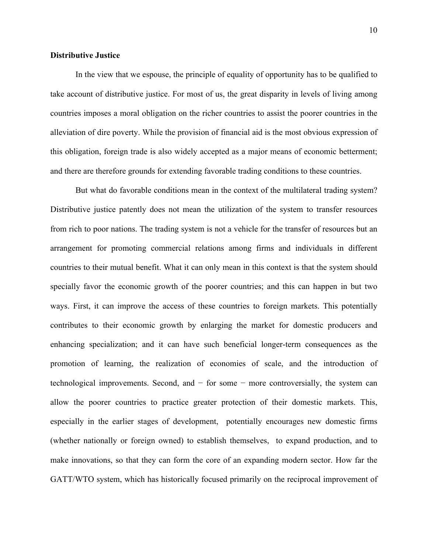#### **Distributive Justice**

In the view that we espouse, the principle of equality of opportunity has to be qualified to take account of distributive justice. For most of us, the great disparity in levels of living among countries imposes a moral obligation on the richer countries to assist the poorer countries in the alleviation of dire poverty. While the provision of financial aid is the most obvious expression of this obligation, foreign trade is also widely accepted as a major means of economic betterment; and there are therefore grounds for extending favorable trading conditions to these countries.

But what do favorable conditions mean in the context of the multilateral trading system? Distributive justice patently does not mean the utilization of the system to transfer resources from rich to poor nations. The trading system is not a vehicle for the transfer of resources but an arrangement for promoting commercial relations among firms and individuals in different countries to their mutual benefit. What it can only mean in this context is that the system should specially favor the economic growth of the poorer countries; and this can happen in but two ways. First, it can improve the access of these countries to foreign markets. This potentially contributes to their economic growth by enlarging the market for domestic producers and enhancing specialization; and it can have such beneficial longer-term consequences as the promotion of learning, the realization of economies of scale, and the introduction of technological improvements. Second, and − for some − more controversially, the system can allow the poorer countries to practice greater protection of their domestic markets. This, especially in the earlier stages of development, potentially encourages new domestic firms (whether nationally or foreign owned) to establish themselves, to expand production, and to make innovations, so that they can form the core of an expanding modern sector. How far the GATT/WTO system, which has historically focused primarily on the reciprocal improvement of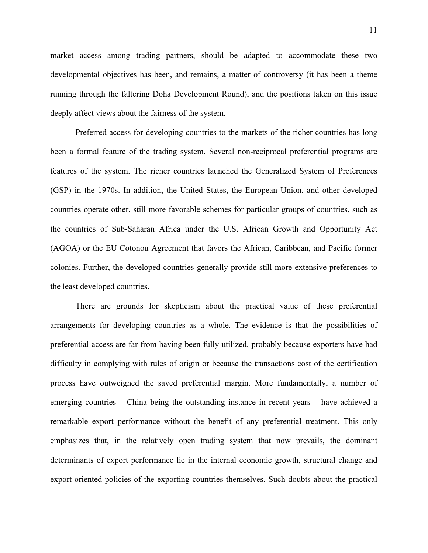market access among trading partners, should be adapted to accommodate these two developmental objectives has been, and remains, a matter of controversy (it has been a theme running through the faltering Doha Development Round), and the positions taken on this issue deeply affect views about the fairness of the system.

Preferred access for developing countries to the markets of the richer countries has long been a formal feature of the trading system. Several non-reciprocal preferential programs are features of the system. The richer countries launched the Generalized System of Preferences (GSP) in the 1970s. In addition, the United States, the European Union, and other developed countries operate other, still more favorable schemes for particular groups of countries, such as the countries of Sub-Saharan Africa under the U.S. African Growth and Opportunity Act (AGOA) or the EU Cotonou Agreement that favors the African, Caribbean, and Pacific former colonies. Further, the developed countries generally provide still more extensive preferences to the least developed countries.

There are grounds for skepticism about the practical value of these preferential arrangements for developing countries as a whole. The evidence is that the possibilities of preferential access are far from having been fully utilized, probably because exporters have had difficulty in complying with rules of origin or because the transactions cost of the certification process have outweighed the saved preferential margin. More fundamentally, a number of emerging countries – China being the outstanding instance in recent years – have achieved a remarkable export performance without the benefit of any preferential treatment. This only emphasizes that, in the relatively open trading system that now prevails, the dominant determinants of export performance lie in the internal economic growth, structural change and export-oriented policies of the exporting countries themselves. Such doubts about the practical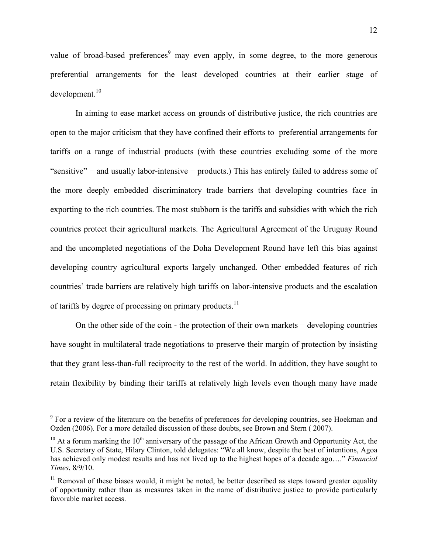value of broad-based preferences<sup>9</sup> may even apply, in some degree, to the more generous preferential arrangements for the least developed countries at their earlier stage of  $development.<sup>10</sup>$ 

In aiming to ease market access on grounds of distributive justice, the rich countries are open to the major criticism that they have confined their efforts to preferential arrangements for tariffs on a range of industrial products (with these countries excluding some of the more "sensitive" − and usually labor-intensive − products.) This has entirely failed to address some of the more deeply embedded discriminatory trade barriers that developing countries face in exporting to the rich countries. The most stubborn is the tariffs and subsidies with which the rich countries protect their agricultural markets. The Agricultural Agreement of the Uruguay Round and the uncompleted negotiations of the Doha Development Round have left this bias against developing country agricultural exports largely unchanged. Other embedded features of rich countries' trade barriers are relatively high tariffs on labor-intensive products and the escalation of tariffs by degree of processing on primary products.<sup>11</sup>

On the other side of the coin - the protection of their own markets − developing countries have sought in multilateral trade negotiations to preserve their margin of protection by insisting that they grant less-than-full reciprocity to the rest of the world. In addition, they have sought to retain flexibility by binding their tariffs at relatively high levels even though many have made

<sup>&</sup>lt;sup>9</sup> For a review of the literature on the benefits of preferences for developing countries, see Hoekman and Ozden (2006). For a more detailed discussion of these doubts, see Brown and Stern ( 2007).

<sup>&</sup>lt;sup>10</sup> At a forum marking the 10<sup>th</sup> anniversary of the passage of the African Growth and Opportunity Act, the U.S. Secretary of State, Hilary Clinton, told delegates: "We all know, despite the best of intentions, Agoa has achieved only modest results and has not lived up to the highest hopes of a decade ago…." *Financial Times*, 8/9/10.

 $11$  Removal of these biases would, it might be noted, be better described as steps toward greater equality of opportunity rather than as measures taken in the name of distributive justice to provide particularly favorable market access.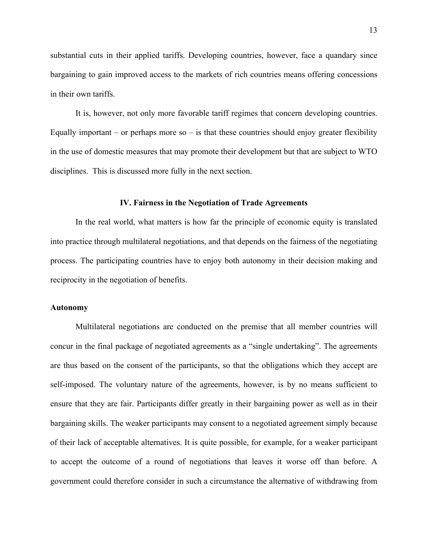substantial cuts in their applied tariffs. Developing countries, however, face a quandary since bargaining to gain improved access to the markets of rich countries means offering concessions in their own tariffs.

It is, however, not only more favorable tariff regimes that concern developing countries. Equally important – or perhaps more so – is that these countries should enjoy greater flexibility in the use of domestic measures that may promote their development but that are subject to WTO disciplines. This is discussed more fully in the next section.

#### **IV. Fairness in the Negotiation of Trade Agreements**

In the real world, what matters is how far the principle of economic equity is translated into practice through multilateral negotiations, and that depends on the fairness of the negotiating process. The participating countries have to enjoy both autonomy in their decision making and reciprocity in the negotiation of benefits.

#### **Autonomy**

Multilateral negotiations are conducted on the premise that all member countries will concur in the final package of negotiated agreements as a "single undertaking". The agreements are thus based on the consent of the participants, so that the obligations which they accept are self-imposed. The voluntary nature of the agreements, however, is by no means sufficient to ensure that they are fair. Participants differ greatly in their bargaining power as well as in their bargaining skills. The weaker participants may consent to a negotiated agreement simply because of their lack of acceptable alternatives. It is quite possible, for example, for a weaker participant to accept the outcome of a round of negotiations that leaves it worse off than before. A government could therefore consider in such a circumstance the alternative of withdrawing from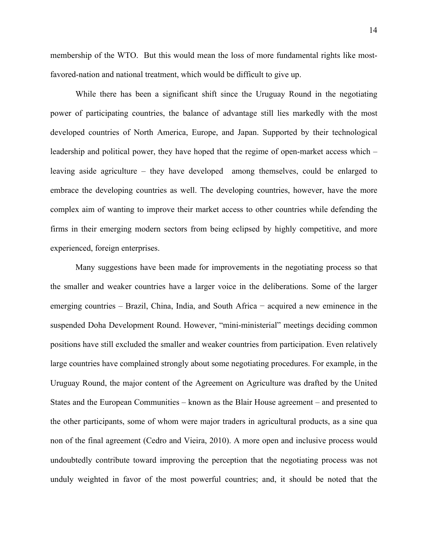membership of the WTO. But this would mean the loss of more fundamental rights like mostfavored-nation and national treatment, which would be difficult to give up.

While there has been a significant shift since the Uruguay Round in the negotiating power of participating countries, the balance of advantage still lies markedly with the most developed countries of North America, Europe, and Japan. Supported by their technological leadership and political power, they have hoped that the regime of open-market access which – leaving aside agriculture – they have developed among themselves, could be enlarged to embrace the developing countries as well. The developing countries, however, have the more complex aim of wanting to improve their market access to other countries while defending the firms in their emerging modern sectors from being eclipsed by highly competitive, and more experienced, foreign enterprises.

Many suggestions have been made for improvements in the negotiating process so that the smaller and weaker countries have a larger voice in the deliberations. Some of the larger emerging countries – Brazil, China, India, and South Africa − acquired a new eminence in the suspended Doha Development Round. However, "mini-ministerial" meetings deciding common positions have still excluded the smaller and weaker countries from participation. Even relatively large countries have complained strongly about some negotiating procedures. For example, in the Uruguay Round, the major content of the Agreement on Agriculture was drafted by the United States and the European Communities – known as the Blair House agreement – and presented to the other participants, some of whom were major traders in agricultural products, as a sine qua non of the final agreement (Cedro and Vieira, 2010). A more open and inclusive process would undoubtedly contribute toward improving the perception that the negotiating process was not unduly weighted in favor of the most powerful countries; and, it should be noted that the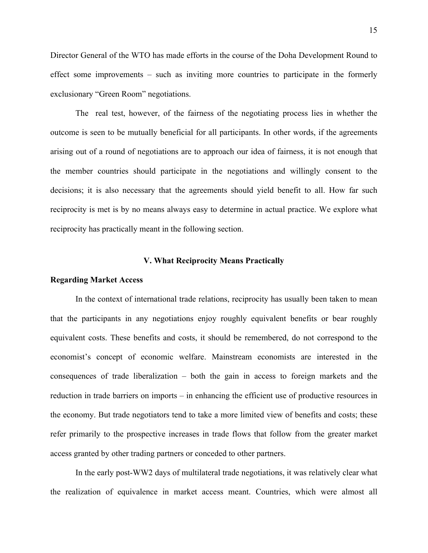Director General of the WTO has made efforts in the course of the Doha Development Round to effect some improvements – such as inviting more countries to participate in the formerly exclusionary "Green Room" negotiations.

The real test, however, of the fairness of the negotiating process lies in whether the outcome is seen to be mutually beneficial for all participants. In other words, if the agreements arising out of a round of negotiations are to approach our idea of fairness, it is not enough that the member countries should participate in the negotiations and willingly consent to the decisions; it is also necessary that the agreements should yield benefit to all. How far such reciprocity is met is by no means always easy to determine in actual practice. We explore what reciprocity has practically meant in the following section.

#### **V. What Reciprocity Means Practically**

#### **Regarding Market Access**

In the context of international trade relations, reciprocity has usually been taken to mean that the participants in any negotiations enjoy roughly equivalent benefits or bear roughly equivalent costs. These benefits and costs, it should be remembered, do not correspond to the economist's concept of economic welfare. Mainstream economists are interested in the consequences of trade liberalization – both the gain in access to foreign markets and the reduction in trade barriers on imports – in enhancing the efficient use of productive resources in the economy. But trade negotiators tend to take a more limited view of benefits and costs; these refer primarily to the prospective increases in trade flows that follow from the greater market access granted by other trading partners or conceded to other partners.

In the early post-WW2 days of multilateral trade negotiations, it was relatively clear what the realization of equivalence in market access meant. Countries, which were almost all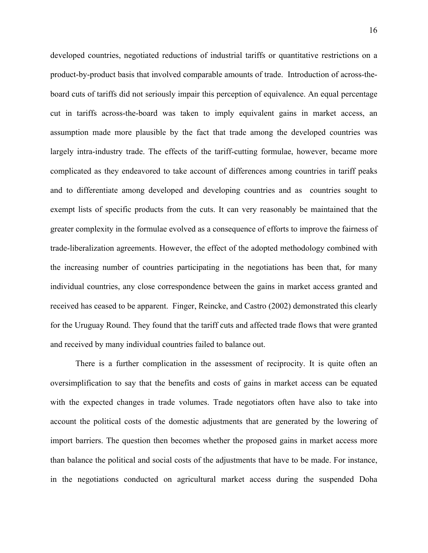developed countries, negotiated reductions of industrial tariffs or quantitative restrictions on a product-by-product basis that involved comparable amounts of trade. Introduction of across-theboard cuts of tariffs did not seriously impair this perception of equivalence. An equal percentage cut in tariffs across-the-board was taken to imply equivalent gains in market access, an assumption made more plausible by the fact that trade among the developed countries was largely intra-industry trade. The effects of the tariff-cutting formulae, however, became more complicated as they endeavored to take account of differences among countries in tariff peaks and to differentiate among developed and developing countries and as countries sought to exempt lists of specific products from the cuts. It can very reasonably be maintained that the greater complexity in the formulae evolved as a consequence of efforts to improve the fairness of trade-liberalization agreements. However, the effect of the adopted methodology combined with the increasing number of countries participating in the negotiations has been that, for many individual countries, any close correspondence between the gains in market access granted and received has ceased to be apparent. Finger, Reincke, and Castro (2002) demonstrated this clearly for the Uruguay Round. They found that the tariff cuts and affected trade flows that were granted and received by many individual countries failed to balance out.

There is a further complication in the assessment of reciprocity. It is quite often an oversimplification to say that the benefits and costs of gains in market access can be equated with the expected changes in trade volumes. Trade negotiators often have also to take into account the political costs of the domestic adjustments that are generated by the lowering of import barriers. The question then becomes whether the proposed gains in market access more than balance the political and social costs of the adjustments that have to be made. For instance, in the negotiations conducted on agricultural market access during the suspended Doha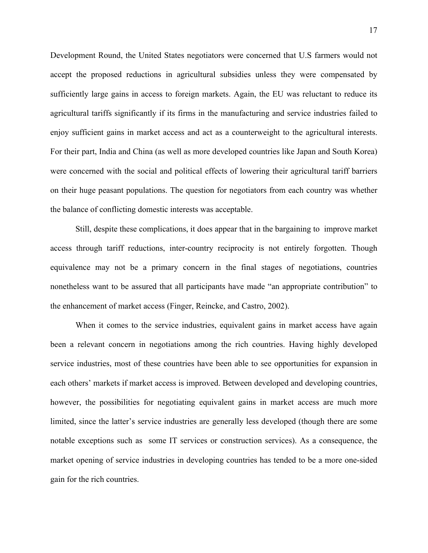Development Round, the United States negotiators were concerned that U.S farmers would not accept the proposed reductions in agricultural subsidies unless they were compensated by sufficiently large gains in access to foreign markets. Again, the EU was reluctant to reduce its agricultural tariffs significantly if its firms in the manufacturing and service industries failed to enjoy sufficient gains in market access and act as a counterweight to the agricultural interests. For their part, India and China (as well as more developed countries like Japan and South Korea) were concerned with the social and political effects of lowering their agricultural tariff barriers on their huge peasant populations. The question for negotiators from each country was whether the balance of conflicting domestic interests was acceptable.

Still, despite these complications, it does appear that in the bargaining to improve market access through tariff reductions, inter-country reciprocity is not entirely forgotten. Though equivalence may not be a primary concern in the final stages of negotiations, countries nonetheless want to be assured that all participants have made "an appropriate contribution" to the enhancement of market access (Finger, Reincke, and Castro, 2002).

When it comes to the service industries, equivalent gains in market access have again been a relevant concern in negotiations among the rich countries. Having highly developed service industries, most of these countries have been able to see opportunities for expansion in each others' markets if market access is improved. Between developed and developing countries, however, the possibilities for negotiating equivalent gains in market access are much more limited, since the latter's service industries are generally less developed (though there are some notable exceptions such as some IT services or construction services). As a consequence, the market opening of service industries in developing countries has tended to be a more one-sided gain for the rich countries.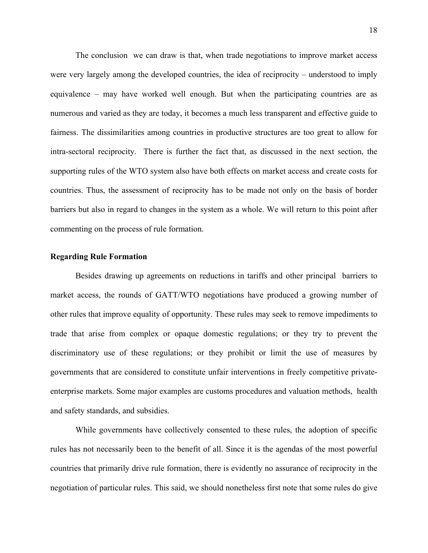The conclusion we can draw is that, when trade negotiations to improve market access were very largely among the developed countries, the idea of reciprocity – understood to imply equivalence – may have worked well enough. But when the participating countries are as numerous and varied as they are today, it becomes a much less transparent and effective guide to fairness. The dissimilarities among countries in productive structures are too great to allow for intra-sectoral reciprocity. There is further the fact that, as discussed in the next section, the supporting rules of the WTO system also have both effects on market access and create costs for countries. Thus, the assessment of reciprocity has to be made not only on the basis of border barriers but also in regard to changes in the system as a whole. We will return to this point after commenting on the process of rule formation.

## **Regarding Rule Formation**

Besides drawing up agreements on reductions in tariffs and other principal barriers to market access, the rounds of GATT/WTO negotiations have produced a growing number of other rules that improve equality of opportunity. These rules may seek to remove impediments to trade that arise from complex or opaque domestic regulations; or they try to prevent the discriminatory use of these regulations; or they prohibit or limit the use of measures by governments that are considered to constitute unfair interventions in freely competitive privateenterprise markets. Some major examples are customs procedures and valuation methods, health and safety standards, and subsidies.

While governments have collectively consented to these rules, the adoption of specific rules has not necessarily been to the benefit of all. Since it is the agendas of the most powerful countries that primarily drive rule formation, there is evidently no assurance of reciprocity in the negotiation of particular rules. This said, we should nonetheless first note that some rules do give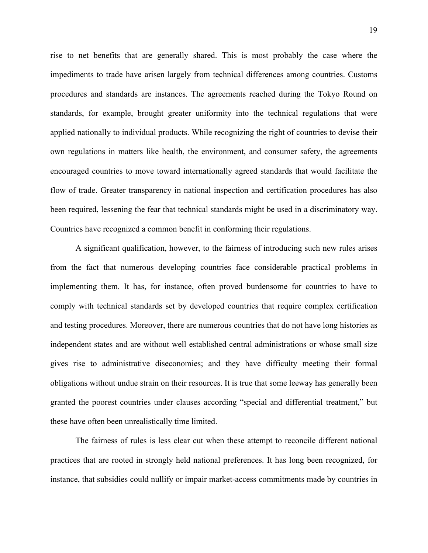rise to net benefits that are generally shared. This is most probably the case where the impediments to trade have arisen largely from technical differences among countries. Customs procedures and standards are instances. The agreements reached during the Tokyo Round on standards, for example, brought greater uniformity into the technical regulations that were applied nationally to individual products. While recognizing the right of countries to devise their own regulations in matters like health, the environment, and consumer safety, the agreements encouraged countries to move toward internationally agreed standards that would facilitate the flow of trade. Greater transparency in national inspection and certification procedures has also been required, lessening the fear that technical standards might be used in a discriminatory way. Countries have recognized a common benefit in conforming their regulations.

A significant qualification, however, to the fairness of introducing such new rules arises from the fact that numerous developing countries face considerable practical problems in implementing them. It has, for instance, often proved burdensome for countries to have to comply with technical standards set by developed countries that require complex certification and testing procedures. Moreover, there are numerous countries that do not have long histories as independent states and are without well established central administrations or whose small size gives rise to administrative diseconomies; and they have difficulty meeting their formal obligations without undue strain on their resources. It is true that some leeway has generally been granted the poorest countries under clauses according "special and differential treatment," but these have often been unrealistically time limited.

The fairness of rules is less clear cut when these attempt to reconcile different national practices that are rooted in strongly held national preferences. It has long been recognized, for instance, that subsidies could nullify or impair market-access commitments made by countries in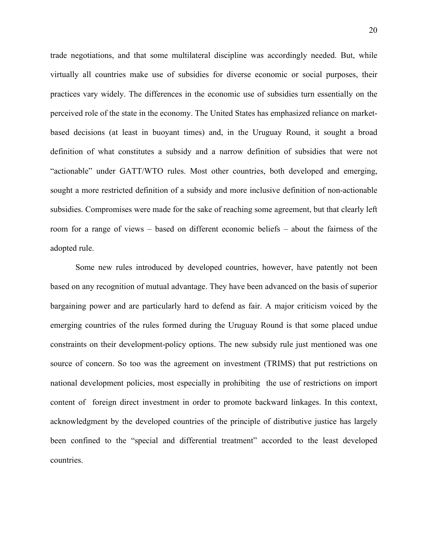trade negotiations, and that some multilateral discipline was accordingly needed. But, while virtually all countries make use of subsidies for diverse economic or social purposes, their practices vary widely. The differences in the economic use of subsidies turn essentially on the perceived role of the state in the economy. The United States has emphasized reliance on marketbased decisions (at least in buoyant times) and, in the Uruguay Round, it sought a broad definition of what constitutes a subsidy and a narrow definition of subsidies that were not "actionable" under GATT/WTO rules. Most other countries, both developed and emerging, sought a more restricted definition of a subsidy and more inclusive definition of non-actionable subsidies. Compromises were made for the sake of reaching some agreement, but that clearly left room for a range of views – based on different economic beliefs – about the fairness of the adopted rule.

Some new rules introduced by developed countries, however, have patently not been based on any recognition of mutual advantage. They have been advanced on the basis of superior bargaining power and are particularly hard to defend as fair. A major criticism voiced by the emerging countries of the rules formed during the Uruguay Round is that some placed undue constraints on their development-policy options. The new subsidy rule just mentioned was one source of concern. So too was the agreement on investment (TRIMS) that put restrictions on national development policies, most especially in prohibiting the use of restrictions on import content of foreign direct investment in order to promote backward linkages. In this context, acknowledgment by the developed countries of the principle of distributive justice has largely been confined to the "special and differential treatment" accorded to the least developed countries.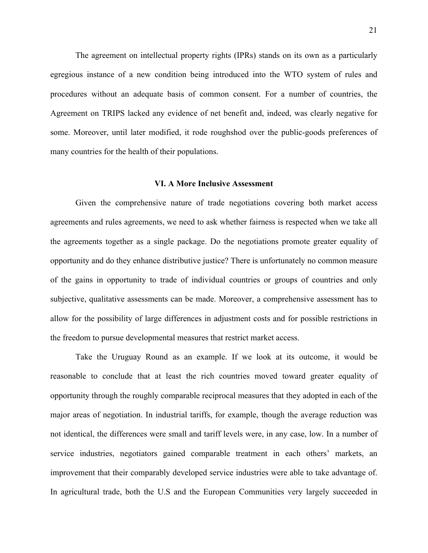The agreement on intellectual property rights (IPRs) stands on its own as a particularly egregious instance of a new condition being introduced into the WTO system of rules and procedures without an adequate basis of common consent. For a number of countries, the Agreement on TRIPS lacked any evidence of net benefit and, indeed, was clearly negative for some. Moreover, until later modified, it rode roughshod over the public-goods preferences of many countries for the health of their populations.

#### **VI. A More Inclusive Assessment**

Given the comprehensive nature of trade negotiations covering both market access agreements and rules agreements, we need to ask whether fairness is respected when we take all the agreements together as a single package. Do the negotiations promote greater equality of opportunity and do they enhance distributive justice? There is unfortunately no common measure of the gains in opportunity to trade of individual countries or groups of countries and only subjective, qualitative assessments can be made. Moreover, a comprehensive assessment has to allow for the possibility of large differences in adjustment costs and for possible restrictions in the freedom to pursue developmental measures that restrict market access.

Take the Uruguay Round as an example. If we look at its outcome, it would be reasonable to conclude that at least the rich countries moved toward greater equality of opportunity through the roughly comparable reciprocal measures that they adopted in each of the major areas of negotiation. In industrial tariffs, for example, though the average reduction was not identical, the differences were small and tariff levels were, in any case, low. In a number of service industries, negotiators gained comparable treatment in each others' markets, an improvement that their comparably developed service industries were able to take advantage of. In agricultural trade, both the U.S and the European Communities very largely succeeded in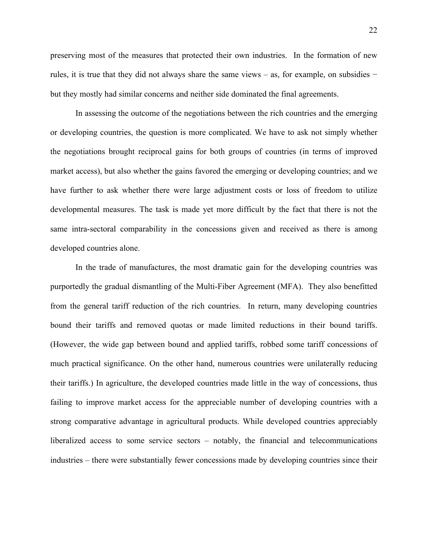preserving most of the measures that protected their own industries. In the formation of new rules, it is true that they did not always share the same views – as, for example, on subsidies − but they mostly had similar concerns and neither side dominated the final agreements.

In assessing the outcome of the negotiations between the rich countries and the emerging or developing countries, the question is more complicated. We have to ask not simply whether the negotiations brought reciprocal gains for both groups of countries (in terms of improved market access), but also whether the gains favored the emerging or developing countries; and we have further to ask whether there were large adjustment costs or loss of freedom to utilize developmental measures. The task is made yet more difficult by the fact that there is not the same intra-sectoral comparability in the concessions given and received as there is among developed countries alone.

In the trade of manufactures, the most dramatic gain for the developing countries was purportedly the gradual dismantling of the Multi-Fiber Agreement (MFA). They also benefitted from the general tariff reduction of the rich countries. In return, many developing countries bound their tariffs and removed quotas or made limited reductions in their bound tariffs. (However, the wide gap between bound and applied tariffs, robbed some tariff concessions of much practical significance. On the other hand, numerous countries were unilaterally reducing their tariffs.) In agriculture, the developed countries made little in the way of concessions, thus failing to improve market access for the appreciable number of developing countries with a strong comparative advantage in agricultural products. While developed countries appreciably liberalized access to some service sectors – notably, the financial and telecommunications industries – there were substantially fewer concessions made by developing countries since their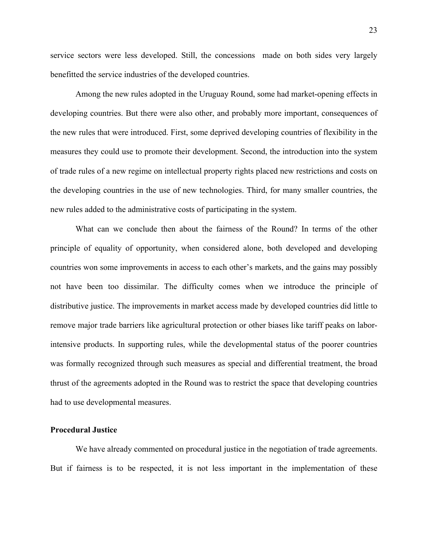service sectors were less developed. Still, the concessions made on both sides very largely benefitted the service industries of the developed countries.

Among the new rules adopted in the Uruguay Round, some had market-opening effects in developing countries. But there were also other, and probably more important, consequences of the new rules that were introduced. First, some deprived developing countries of flexibility in the measures they could use to promote their development. Second, the introduction into the system of trade rules of a new regime on intellectual property rights placed new restrictions and costs on the developing countries in the use of new technologies. Third, for many smaller countries, the new rules added to the administrative costs of participating in the system.

What can we conclude then about the fairness of the Round? In terms of the other principle of equality of opportunity, when considered alone, both developed and developing countries won some improvements in access to each other's markets, and the gains may possibly not have been too dissimilar. The difficulty comes when we introduce the principle of distributive justice. The improvements in market access made by developed countries did little to remove major trade barriers like agricultural protection or other biases like tariff peaks on laborintensive products. In supporting rules, while the developmental status of the poorer countries was formally recognized through such measures as special and differential treatment, the broad thrust of the agreements adopted in the Round was to restrict the space that developing countries had to use developmental measures.

#### **Procedural Justice**

We have already commented on procedural justice in the negotiation of trade agreements. But if fairness is to be respected, it is not less important in the implementation of these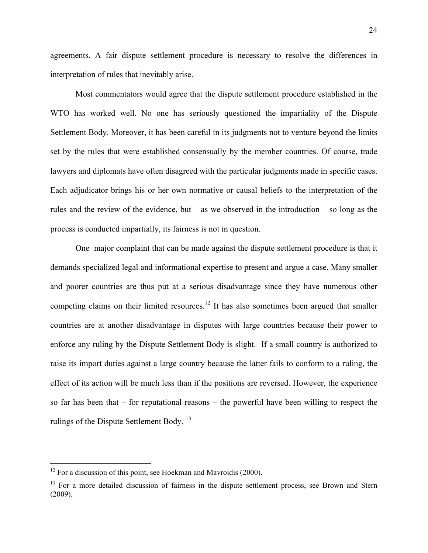agreements. A fair dispute settlement procedure is necessary to resolve the differences in interpretation of rules that inevitably arise.

Most commentators would agree that the dispute settlement procedure established in the WTO has worked well. No one has seriously questioned the impartiality of the Dispute Settlement Body. Moreover, it has been careful in its judgments not to venture beyond the limits set by the rules that were established consensually by the member countries. Of course, trade lawyers and diplomats have often disagreed with the particular judgments made in specific cases. Each adjudicator brings his or her own normative or causal beliefs to the interpretation of the rules and the review of the evidence, but – as we observed in the introduction – so long as the process is conducted impartially, its fairness is not in question.

One major complaint that can be made against the dispute settlement procedure is that it demands specialized legal and informational expertise to present and argue a case. Many smaller and poorer countries are thus put at a serious disadvantage since they have numerous other competing claims on their limited resources.<sup>12</sup> It has also sometimes been argued that smaller countries are at another disadvantage in disputes with large countries because their power to enforce any ruling by the Dispute Settlement Body is slight. If a small country is authorized to raise its import duties against a large country because the latter fails to conform to a ruling, the effect of its action will be much less than if the positions are reversed. However, the experience so far has been that – for reputational reasons – the powerful have been willing to respect the rulings of the Dispute Settlement Body.<sup>13</sup>

 $12$  For a discussion of this point, see Hoekman and Mavroidis (2000).

<sup>&</sup>lt;sup>13</sup> For a more detailed discussion of fairness in the dispute settlement process, see Brown and Stern (2009).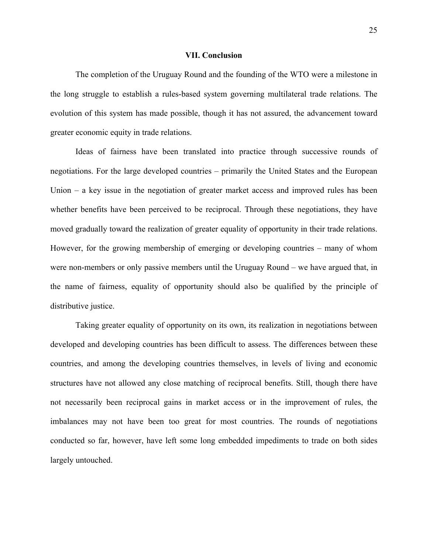#### **VII. Conclusion**

The completion of the Uruguay Round and the founding of the WTO were a milestone in the long struggle to establish a rules-based system governing multilateral trade relations. The evolution of this system has made possible, though it has not assured, the advancement toward greater economic equity in trade relations.

Ideas of fairness have been translated into practice through successive rounds of negotiations. For the large developed countries – primarily the United States and the European Union – a key issue in the negotiation of greater market access and improved rules has been whether benefits have been perceived to be reciprocal. Through these negotiations, they have moved gradually toward the realization of greater equality of opportunity in their trade relations. However, for the growing membership of emerging or developing countries – many of whom were non-members or only passive members until the Uruguay Round – we have argued that, in the name of fairness, equality of opportunity should also be qualified by the principle of distributive justice.

Taking greater equality of opportunity on its own, its realization in negotiations between developed and developing countries has been difficult to assess. The differences between these countries, and among the developing countries themselves, in levels of living and economic structures have not allowed any close matching of reciprocal benefits. Still, though there have not necessarily been reciprocal gains in market access or in the improvement of rules, the imbalances may not have been too great for most countries. The rounds of negotiations conducted so far, however, have left some long embedded impediments to trade on both sides largely untouched.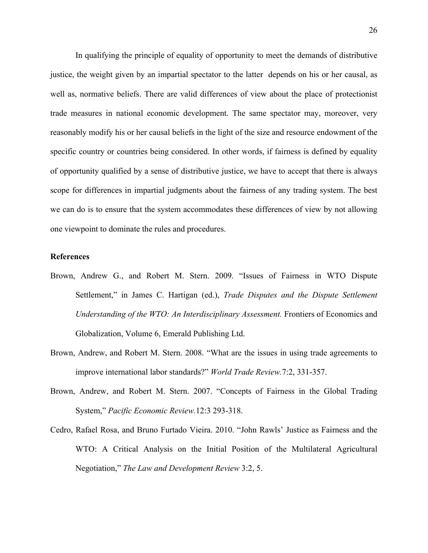In qualifying the principle of equality of opportunity to meet the demands of distributive justice, the weight given by an impartial spectator to the latter depends on his or her causal, as well as, normative beliefs. There are valid differences of view about the place of protectionist trade measures in national economic development. The same spectator may, moreover, very reasonably modify his or her causal beliefs in the light of the size and resource endowment of the specific country or countries being considered. In other words, if fairness is defined by equality of opportunity qualified by a sense of distributive justice, we have to accept that there is always scope for differences in impartial judgments about the fairness of any trading system. The best we can do is to ensure that the system accommodates these differences of view by not allowing one viewpoint to dominate the rules and procedures.

#### **References**

- Brown, Andrew G., and Robert M. Stern. 2009. "Issues of Fairness in WTO Dispute Settlement," in James C. Hartigan (ed.), *Trade Disputes and the Dispute Settlement Understanding of the WTO: An Interdisciplinary Assessment.* Frontiers of Economics and Globalization, Volume 6, Emerald Publishing Ltd.
- Brown, Andrew, and Robert M. Stern. 2008. "What are the issues in using trade agreements to improve international labor standards?" *World Trade Review.*7:2, 331-357.
- Brown, Andrew, and Robert M. Stern. 2007. "Concepts of Fairness in the Global Trading System," *Pacific Economic Review.*12:3 293-318.
- Cedro, Rafael Rosa, and Bruno Furtado Vieira. 2010. "John Rawls' Justice as Fairness and the WTO: A Critical Analysis on the Initial Position of the Multilateral Agricultural Negotiation," *The Law and Development Review* 3:2, 5.